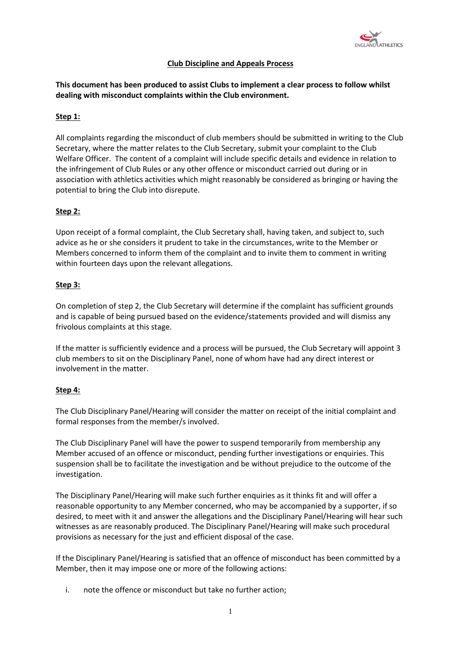

# **Club Discipline and Appeals Process**

# **This document has been produced to assist Clubs to implement a clear process to follow whilst dealing with misconduct complaints within the Club environment.**

## **Step 1:**

All complaints regarding the misconduct of club members should be submitted in writing to the Club Secretary, where the matter relates to the Club Secretary, submit your complaint to the Club Welfare Officer. The content of a complaint will include specific details and evidence in relation to the infringement of Club Rules or any other offence or misconduct carried out during or in association with athletics activities which might reasonably be considered as bringing or having the potential to bring the Club into disrepute.

## **Step 2:**

Upon receipt of a formal complaint, the Club Secretary shall, having taken, and subject to, such advice as he or she considers it prudent to take in the circumstances, write to the Member or Members concerned to inform them of the complaint and to invite them to comment in writing within fourteen days upon the relevant allegations.

### **Step 3:**

On completion of step 2, the Club Secretary will determine if the complaint has sufficient grounds and is capable of being pursued based on the evidence/statements provided and will dismiss any frivolous complaints at this stage.

If the matter is sufficiently evidence and a process will be pursued, the Club Secretary will appoint 3 club members to sit on the Disciplinary Panel, none of whom have had any direct interest or involvement in the matter.

### **Step 4:**

The Club Disciplinary Panel/Hearing will consider the matter on receipt of the initial complaint and formal responses from the member/s involved.

The Club Disciplinary Panel will have the power to suspend temporarily from membership any Member accused of an offence or misconduct, pending further investigations or enquiries. This suspension shall be to facilitate the investigation and be without prejudice to the outcome of the investigation.

The Disciplinary Panel/Hearing will make such further enquiries as it thinks fit and will offer a reasonable opportunity to any Member concerned, who may be accompanied by a supporter, if so desired, to meet with it and answer the allegations and the Disciplinary Panel/Hearing will hear such witnesses as are reasonably produced. The Disciplinary Panel/Hearing will make such procedural provisions as necessary for the just and efficient disposal of the case.

If the Disciplinary Panel/Hearing is satisfied that an offence of misconduct has been committed by a Member, then it may impose one or more of the following actions:

i. note the offence or misconduct but take no further action;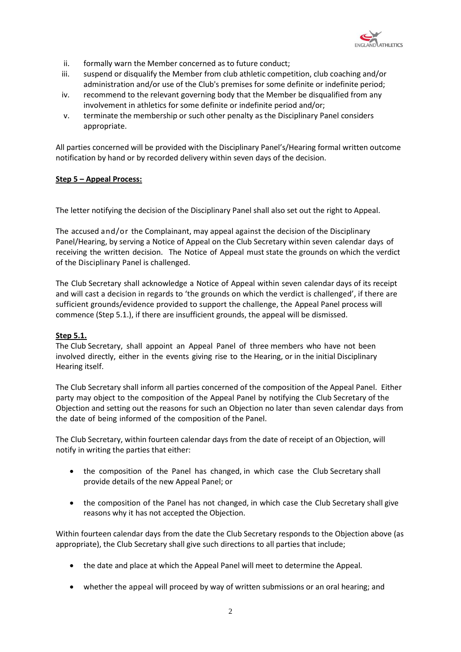

- ii. formally warn the Member concerned as to future conduct;
- iii. suspend or disqualify the Member from club athletic competition, club coaching and/or administration and/or use of the Club's premises for some definite or indefinite period;
- iv. recommend to the relevant governing body that the Member be disqualified from any involvement in athletics for some definite or indefinite period and/or;
- v. terminate the membership or such other penalty as the Disciplinary Panel considers appropriate.

All parties concerned will be provided with the Disciplinary Panel's/Hearing formal written outcome notification by hand or by recorded delivery within seven days of the decision.

## **Step 5 – Appeal Process:**

The letter notifying the decision of the Disciplinary Panel shall also set out the right to Appeal.

The accused and/or the Complainant, may appeal against the decision of the Disciplinary Panel/Hearing, by serving a Notice of Appeal on the Club Secretary within seven calendar days of receiving the written decision. The Notice of Appeal must state the grounds on which the verdict of the Disciplinary Panel is challenged.

The Club Secretary shall acknowledge a Notice of Appeal within seven calendar days of its receipt and will cast a decision in regards to 'the grounds on which the verdict is challenged', if there are sufficient grounds/evidence provided to support the challenge, the Appeal Panel process will commence (Step 5.1.), if there are insufficient grounds, the appeal will be dismissed.

## **Step 5.1.**

The Club Secretary, shall appoint an Appeal Panel of three members who have not been involved directly, either in the events giving rise to the Hearing, or in the initial Disciplinary Hearing itself.

The Club Secretary shall inform all parties concerned of the composition of the Appeal Panel. Either party may object to the composition of the Appeal Panel by notifying the Club Secretary of the Objection and setting out the reasons for such an Objection no later than seven calendar days from the date of being informed of the composition of the Panel.

The Club Secretary, within fourteen calendar days from the date of receipt of an Objection, will notify in writing the parties that either:

- the composition of the Panel has changed, in which case the Club Secretary shall provide details of the new Appeal Panel; or
- the composition of the Panel has not changed, in which case the Club Secretary shall give reasons why it has not accepted the Objection.

Within fourteen calendar days from the date the Club Secretary responds to the Objection above (as appropriate), the Club Secretary shall give such directions to all parties that include;

- the date and place at which the Appeal Panel will meet to determine the Appeal.
- whether the appeal will proceed by way of written submissions or an oral hearing; and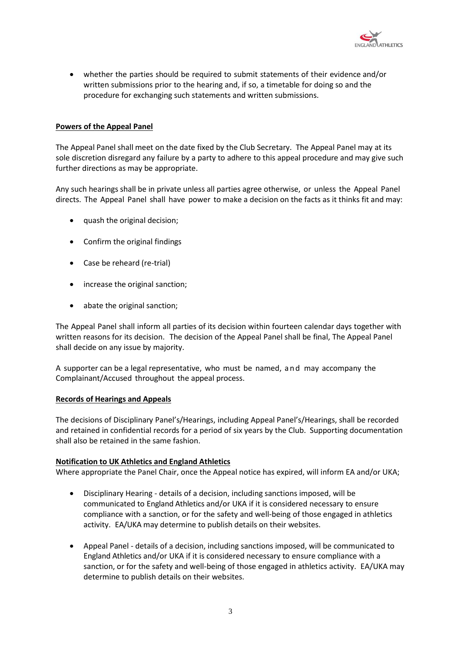

• whether the parties should be required to submit statements of their evidence and/or written submissions prior to the hearing and, if so, a timetable for doing so and the procedure for exchanging such statements and written submissions.

## **Powers of the Appeal Panel**

The Appeal Panel shall meet on the date fixed by the Club Secretary. The Appeal Panel may at its sole discretion disregard any failure by a party to adhere to this appeal procedure and may give such further directions as may be appropriate.

Any such hearings shall be in private unless all parties agree otherwise, or unless the Appeal Panel directs. The Appeal Panel shall have power to make a decision on the facts as it thinks fit and may:

- quash the original decision;
- Confirm the original findings
- Case be reheard (re-trial)
- increase the original sanction;
- abate the original sanction;

The Appeal Panel shall inform all parties of its decision within fourteen calendar days together with written reasons for its decision. The decision of the Appeal Panel shall be final, The Appeal Panel shall decide on any issue by majority.

A supporter can be a legal representative, who must be named, and may accompany the Complainant/Accused throughout the appeal process.

### **Records of Hearings and Appeals**

The decisions of Disciplinary Panel's/Hearings, including Appeal Panel's/Hearings, shall be recorded and retained in confidential records for a period of six years by the Club. Supporting documentation shall also be retained in the same fashion.

### **Notification to UK Athletics and England Athletics**

Where appropriate the Panel Chair, once the Appeal notice has expired, will inform EA and/or UKA;

- Disciplinary Hearing details of a decision, including sanctions imposed, will be communicated to England Athletics and/or UKA if it is considered necessary to ensure compliance with a sanction, or for the safety and well-being of those engaged in athletics activity. EA/UKA may determine to publish details on their websites.
- Appeal Panel details of a decision, including sanctions imposed, will be communicated to England Athletics and/or UKA if it is considered necessary to ensure compliance with a sanction, or for the safety and well-being of those engaged in athletics activity. EA/UKA may determine to publish details on their websites.